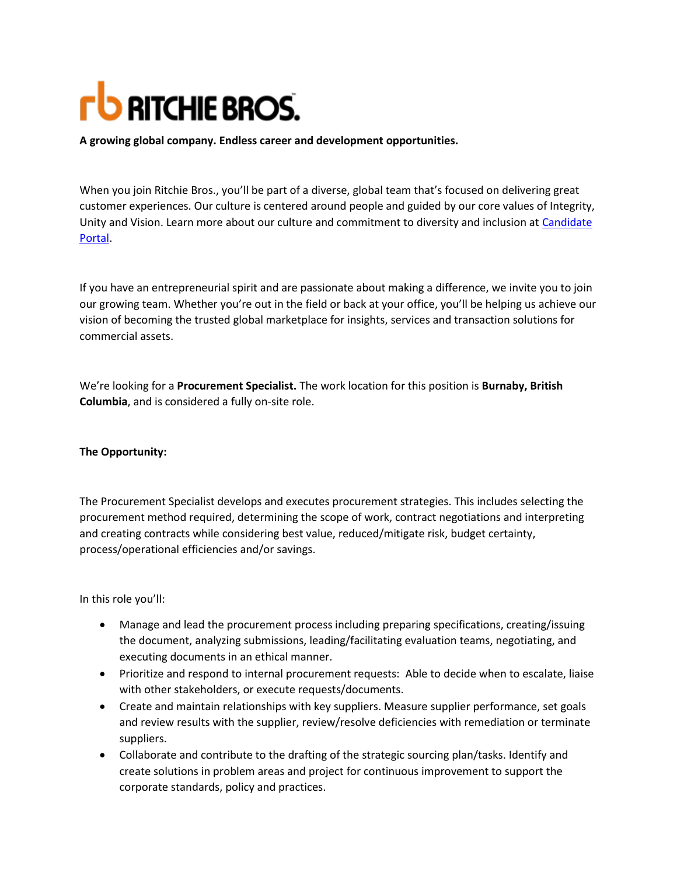## **FU RITCHIE BROS.**

**A growing global company. Endless career and development opportunities.**

When you join Ritchie Bros., you'll be part of a diverse, global team that's focused on delivering great customer experiences. Our culture is centered around people and guided by our core values of Integrity, Unity and Vision. Learn more about our culture and commitment to diversity and inclusion at [Candidate](https://ourvoices.ritchiebros.com/company/about-us)  [Portal.](https://ourvoices.ritchiebros.com/company/about-us)

If you have an entrepreneurial spirit and are passionate about making a difference, we invite you to join our growing team. Whether you're out in the field or back at your office, you'll be helping us achieve our vision of becoming the trusted global marketplace for insights, services and transaction solutions for commercial assets.

We're looking for a **Procurement Specialist.** The work location for this position is **Burnaby, British Columbia**, and is considered a fully on-site role.

## **The Opportunity:**

The Procurement Specialist develops and executes procurement strategies. This includes selecting the procurement method required, determining the scope of work, contract negotiations and interpreting and creating contracts while considering best value, reduced/mitigate risk, budget certainty, process/operational efficiencies and/or savings.

In this role you'll:

- Manage and lead the procurement process including preparing specifications, creating/issuing the document, analyzing submissions, leading/facilitating evaluation teams, negotiating, and executing documents in an ethical manner.
- Prioritize and respond to internal procurement requests: Able to decide when to escalate, liaise with other stakeholders, or execute requests/documents.
- Create and maintain relationships with key suppliers. Measure supplier performance, set goals and review results with the supplier, review/resolve deficiencies with remediation or terminate suppliers.
- Collaborate and contribute to the drafting of the strategic sourcing plan/tasks. Identify and create solutions in problem areas and project for continuous improvement to support the corporate standards, policy and practices.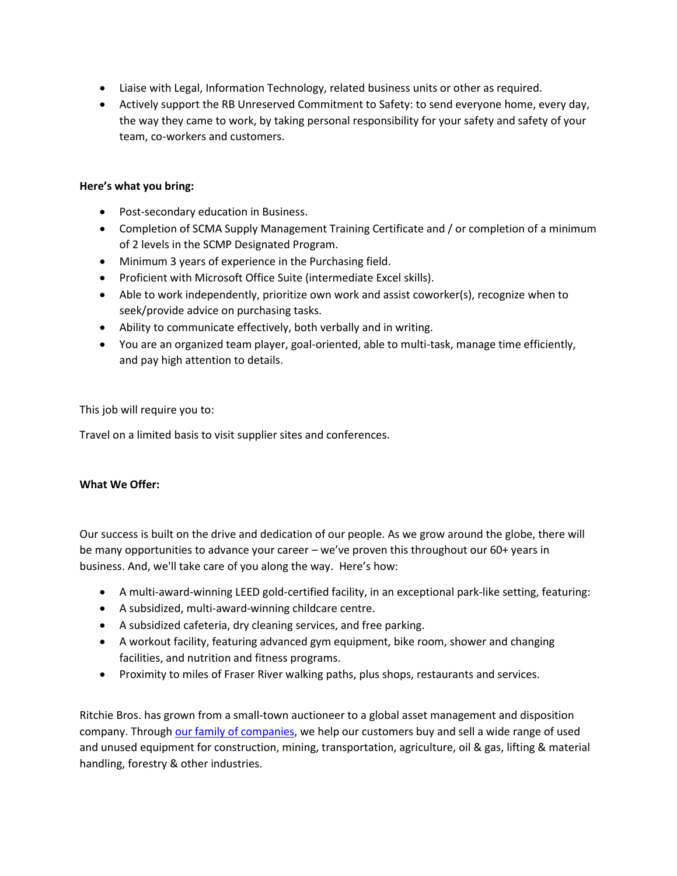- Liaise with Legal, Information Technology, related business units or other as required.
- Actively support the RB Unreserved Commitment to Safety: to send everyone home, every day, the way they came to work, by taking personal responsibility for your safety and safety of your team, co-workers and customers.

## **Here's what you bring:**

- Post-secondary education in Business.
- Completion of SCMA Supply Management Training Certificate and / or completion of a minimum of 2 levels in the SCMP Designated Program.
- Minimum 3 years of experience in the Purchasing field.
- Proficient with Microsoft Office Suite (intermediate Excel skills).
- Able to work independently, prioritize own work and assist coworker(s), recognize when to seek/provide advice on purchasing tasks.
- Ability to communicate effectively, both verbally and in writing.
- You are an organized team player, goal-oriented, able to multi-task, manage time efficiently, and pay high attention to details.

This job will require you to:

Travel on a limited basis to visit supplier sites and conferences.

## **What We Offer:**

Our success is built on the drive and dedication of our people. As we grow around the globe, there will be many opportunities to advance your career – we've proven this throughout our 60+ years in business. And, we'll take care of you along the way. Here's how:

- A multi-award-winning LEED gold-certified facility, in an exceptional park-like setting, featuring:
- A subsidized, multi-award-winning childcare centre.
- A subsidized cafeteria, dry cleaning services, and free parking.
- A workout facility, featuring advanced gym equipment, bike room, shower and changing facilities, and nutrition and fitness programs.
- Proximity to miles of Fraser River walking paths, plus shops, restaurants and services.

Ritchie Bros. has grown from a small-town auctioneer to a global asset management and disposition company. Through [our family of companies,](https://www.ritchiebros.com/) we help our customers buy and sell a wide range of used and unused equipment for construction, mining, transportation, agriculture, oil & gas, lifting & material handling, forestry & other industries.